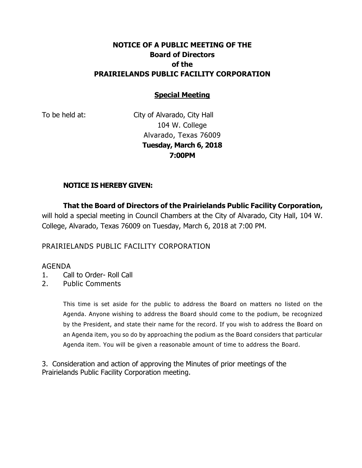# **NOTICE OF A PUBLIC MEETING OF THE Board of Directors of the PRAIRIELANDS PUBLIC FACILITY CORPORATION**

## **Special Meeting**

To be held at: City of Alvarado, City Hall 104 W. College Alvarado, Texas 76009 **Tuesday, March 6, 2018 7:00PM**

### **NOTICE IS HEREBY GIVEN:**

**That the Board of Directors of the Prairielands Public Facility Corporation,** will hold a special meeting in Council Chambers at the City of Alvarado, City Hall, 104 W. College, Alvarado, Texas 76009 on Tuesday, March 6, 2018 at 7:00 PM.

### PRAIRIELANDS PUBLIC FACILITY CORPORATION

#### AGENDA

- 1. Call to Order- Roll Call
- 2. Public Comments

This time is set aside for the public to address the Board on matters no listed on the Agenda. Anyone wishing to address the Board should come to the podium, be recognized by the President, and state their name for the record. If you wish to address the Board on an Agenda item, you so do by approaching the podium as the Board considers that particular Agenda item. You will be given a reasonable amount of time to address the Board.

3. Consideration and action of approving the Minutes of prior meetings of the Prairielands Public Facility Corporation meeting.